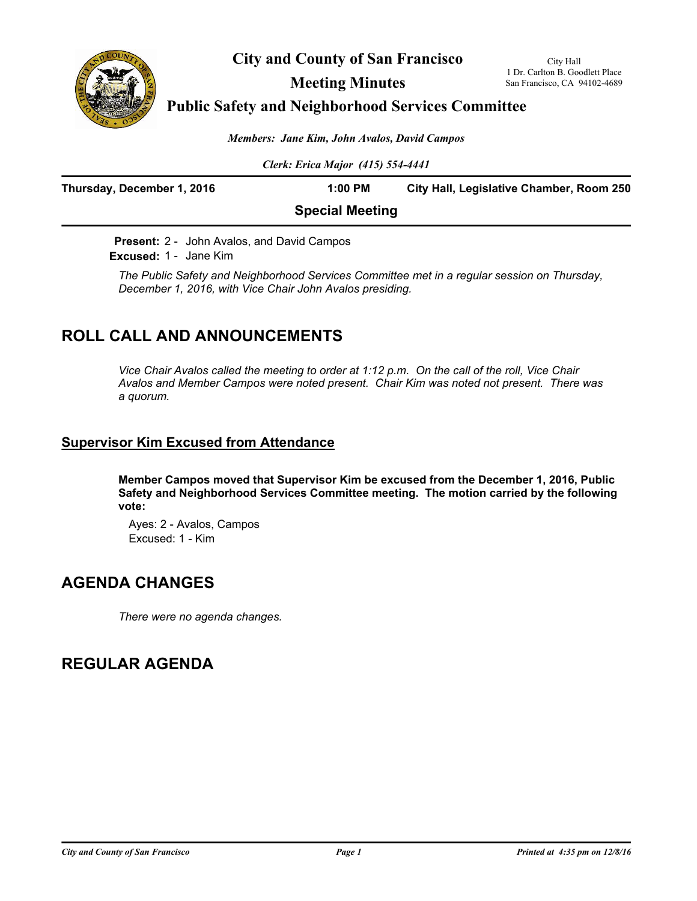

**City and County of San Francisco**

**Meeting Minutes**

### **Public Safety and Neighborhood Services Committee**

*Members: Jane Kim, John Avalos, David Campos*

*Clerk: Erica Major (415) 554-4441*

| Thursday, December 1, 2016 | 1:00 PM                | City Hall, Legislative Chamber, Room 250 |
|----------------------------|------------------------|------------------------------------------|
|                            | <b>Special Meeting</b> |                                          |

**Present:** 2 - John Avalos, and David Campos **Excused:** 1 - Jane Kim

*The Public Safety and Neighborhood Services Committee met in a regular session on Thursday, December 1, 2016, with Vice Chair John Avalos presiding.*

# **ROLL CALL AND ANNOUNCEMENTS**

*Vice Chair Avalos called the meeting to order at 1:12 p.m. On the call of the roll, Vice Chair Avalos and Member Campos were noted present. Chair Kim was noted not present. There was a quorum.*

### **Supervisor Kim Excused from Attendance**

**Member Campos moved that Supervisor Kim be excused from the December 1, 2016, Public Safety and Neighborhood Services Committee meeting. The motion carried by the following vote:**

Ayes: 2 - Avalos, Campos Excused: 1 - Kim

# **AGENDA CHANGES**

*There were no agenda changes.*

# **REGULAR AGENDA**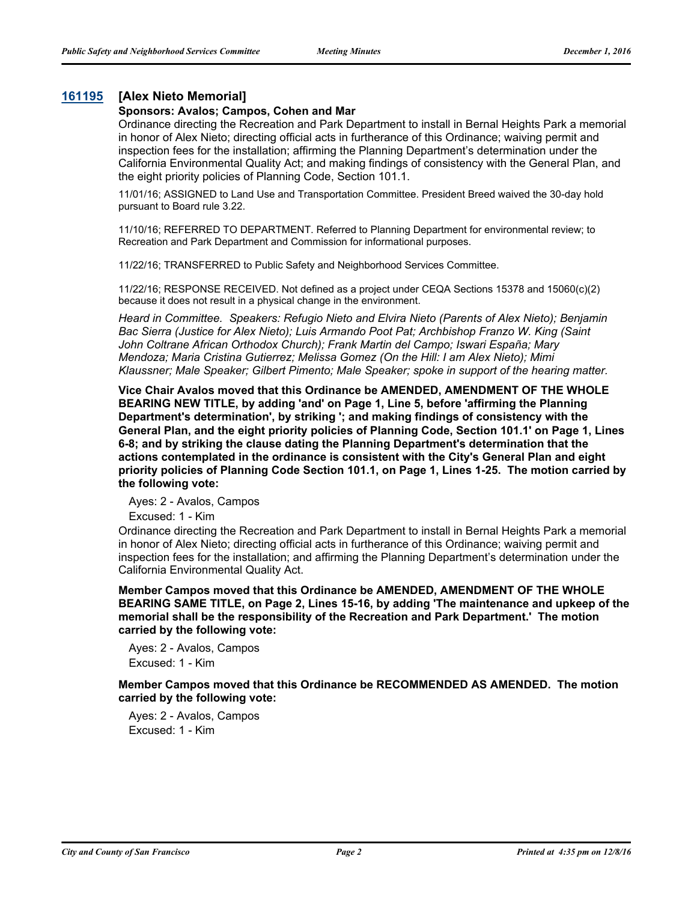### **[161195](http://sfgov.legistar.com/gateway.aspx?m=l&id=31400) [Alex Nieto Memorial]**

#### **Sponsors: Avalos; Campos, Cohen and Mar**

Ordinance directing the Recreation and Park Department to install in Bernal Heights Park a memorial in honor of Alex Nieto; directing official acts in furtherance of this Ordinance; waiving permit and inspection fees for the installation; affirming the Planning Department's determination under the California Environmental Quality Act; and making findings of consistency with the General Plan, and the eight priority policies of Planning Code, Section 101.1.

11/01/16; ASSIGNED to Land Use and Transportation Committee. President Breed waived the 30-day hold pursuant to Board rule 3.22.

11/10/16; REFERRED TO DEPARTMENT. Referred to Planning Department for environmental review; to Recreation and Park Department and Commission for informational purposes.

11/22/16; TRANSFERRED to Public Safety and Neighborhood Services Committee.

11/22/16; RESPONSE RECEIVED. Not defined as a project under CEQA Sections 15378 and 15060(c)(2) because it does not result in a physical change in the environment.

*Heard in Committee. Speakers: Refugio Nieto and Elvira Nieto (Parents of Alex Nieto); Benjamin Bac Sierra (Justice for Alex Nieto); Luis Armando Poot Pat; Archbishop Franzo W. King (Saint John Coltrane African Orthodox Church); Frank Martin del Campo; Iswari España; Mary Mendoza; Maria Cristina Gutierrez; Melissa Gomez (On the Hill: I am Alex Nieto); Mimi Klaussner; Male Speaker; Gilbert Pimento; Male Speaker; spoke in support of the hearing matter.*

**Vice Chair Avalos moved that this Ordinance be AMENDED, AMENDMENT OF THE WHOLE BEARING NEW TITLE, by adding 'and' on Page 1, Line 5, before 'affirming the Planning Department's determination', by striking '; and making findings of consistency with the General Plan, and the eight priority policies of Planning Code, Section 101.1' on Page 1, Lines 6-8; and by striking the clause dating the Planning Department's determination that the actions contemplated in the ordinance is consistent with the City's General Plan and eight priority policies of Planning Code Section 101.1, on Page 1, Lines 1-25. The motion carried by the following vote:**

Ayes: 2 - Avalos, Campos

Excused: 1 - Kim

Ordinance directing the Recreation and Park Department to install in Bernal Heights Park a memorial in honor of Alex Nieto; directing official acts in furtherance of this Ordinance; waiving permit and inspection fees for the installation; and affirming the Planning Department's determination under the California Environmental Quality Act.

**Member Campos moved that this Ordinance be AMENDED, AMENDMENT OF THE WHOLE BEARING SAME TITLE, on Page 2, Lines 15-16, by adding 'The maintenance and upkeep of the memorial shall be the responsibility of the Recreation and Park Department.' The motion carried by the following vote:**

Ayes: 2 - Avalos, Campos Excused: 1 - Kim

**Member Campos moved that this Ordinance be RECOMMENDED AS AMENDED. The motion carried by the following vote:**

Ayes: 2 - Avalos, Campos Excused: 1 - Kim